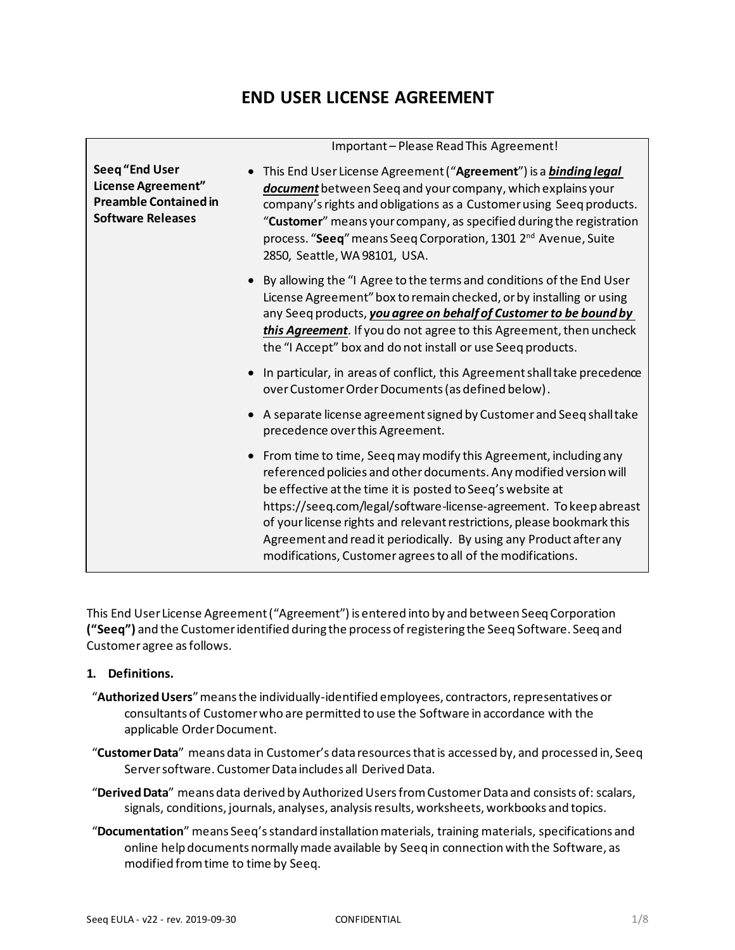# **END USER LICENSE AGREEMENT**

| Seeq "End User<br>License Agreement"<br><b>Preamble Contained in</b><br><b>Software Releases</b> | This End User License Agreement ("Agreement") is a binding legal<br>document between Seeq and your company, which explains your<br>company's rights and obligations as a Customer using Seeq products.<br>"Customer" means your company, as specified during the registration<br>process. "Seeq" means Seeq Corporation, 1301 2 <sup>nd</sup> Avenue, Suite<br>2850, Seattle, WA 98101, USA.                                                                                                |
|--------------------------------------------------------------------------------------------------|---------------------------------------------------------------------------------------------------------------------------------------------------------------------------------------------------------------------------------------------------------------------------------------------------------------------------------------------------------------------------------------------------------------------------------------------------------------------------------------------|
|                                                                                                  | • By allowing the "I Agree to the terms and conditions of the End User<br>License Agreement" box to remain checked, or by installing or using<br>any Seeq products, you agree on behalf of Customer to be bound by<br>this Agreement. If you do not agree to this Agreement, then uncheck<br>the "I Accept" box and do not install or use Seeq products.                                                                                                                                    |
|                                                                                                  | • In particular, in areas of conflict, this Agreement shall take precedence<br>over Customer Order Documents (as defined below).                                                                                                                                                                                                                                                                                                                                                            |
|                                                                                                  | • A separate license agreement signed by Customer and Seeq shall take<br>precedence over this Agreement.                                                                                                                                                                                                                                                                                                                                                                                    |
|                                                                                                  | • From time to time, Seeq may modify this Agreement, including any<br>referenced policies and other documents. Any modified version will<br>be effective at the time it is posted to Seeq's website at<br>https://seeq.com/legal/software-license-agreement. To keep abreast<br>of your license rights and relevant restrictions, please bookmark this<br>Agreement and read it periodically. By using any Product after any<br>modifications, Customer agrees to all of the modifications. |

This End User License Agreement ("Agreement") is entered into by and between Seeq Corporation **("Seeq")** and the Customer identified during the process of registering the Seeq Software. Seeq and Customer agree as follows.

#### **1. Definitions.**

- "**Authorized Users**" means the individually-identified employees, contractors, representatives or consultants of Customer who are permitted to use the Software in accordance with the applicable Order Document.
- "**Customer Data**" means data in Customer's data resources that is accessed by, and processed in, Seeq Server software. Customer Data includes all Derived Data.
- "**Derived Data**" means data derived by Authorized Users from Customer Data and consists of: scalars, signals, conditions, journals, analyses, analysis results, worksheets, workbooks and topics.
- "**Documentation**" means Seeq's standard installation materials, training materials, specifications and online help documents normally made available by Seeq in connection with the Software, as modified from time to time by Seeq.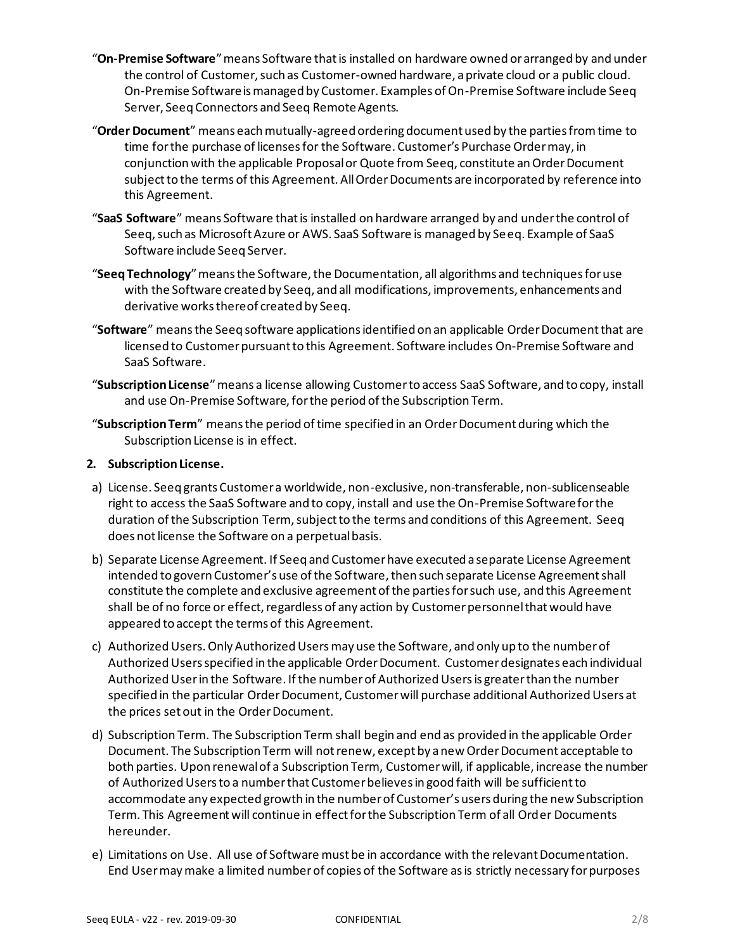- "**On-Premise Software**" means Software that is installed on hardware owned or arranged by and under the control of Customer, such as Customer-owned hardware, a private cloud or a public cloud. On-Premise Software is managed by Customer. Examples of On-Premise Software include Seeq Server, Seeq Connectors and Seeq Remote Agents.
- "**Order Document**" means each mutually-agreed ordering document used by the parties from time to time for the purchase of licenses for the Software. Customer's Purchase Order may, in conjunction with the applicable Proposal or Quote from Seeq, constitute an Order Document subject to the terms of this Agreement. All Order Documents are incorporated by reference into this Agreement.
- "**SaaS Software**" means Software that is installed on hardware arranged by and under the control of Seeq, such as Microsoft Azure or AWS. SaaS Software is managed by Seeq. Example of SaaS Software include Seeq Server.
- "**Seeq Technology**" means the Software, the Documentation, all algorithms and techniques for use with the Software created by Seeq, and all modifications, improvements, enhancements and derivative works thereof created by Seeq.
- "**Software**" means the Seeq software applications identified on an applicable Order Document that are licensed to Customer pursuant to this Agreement. Software includes On-Premise Software and SaaS Software.
- "**Subscription License**" means a license allowing Customer to access SaaS Software, and to copy, install and use On-Premise Software, for the period of the Subscription Term.
- "**Subscription Term**" means the period of time specified in an Order Document during which the Subscription License is in effect.

#### **2. Subscription License.**

- a) License. Seeq grants Customer a worldwide, non-exclusive, non‐transferable, non‐sublicenseable right to access the SaaS Software and to copy, install and use the On-Premise Software for the duration of the Subscription Term, subject to the terms and conditions of this Agreement. Seeq does not license the Software on a perpetual basis.
- b) Separate License Agreement. If Seeq and Customer have executed a separate License Agreement intended to govern Customer's use of the Software, then such separate License Agreement shall constitute the complete and exclusive agreement of the parties for such use, and this Agreement shall be of no force or effect, regardless of any action by Customer personnel that would have appeared to accept the terms of this Agreement.
- c) Authorized Users. Only Authorized Users may use the Software, and only up to the number of Authorized Users specified in the applicable Order Document. Customer designates each individual Authorized User in the Software. If the number of Authorized Users is greater than the number specified in the particular Order Document, Customer will purchase additional Authorized Users at the prices set out in the Order Document.
- d) Subscription Term. The Subscription Term shall begin and end as provided in the applicable Order Document. The Subscription Term will not renew, except by a new Order Document acceptable to both parties. Upon renewal of a Subscription Term, Customer will, if applicable, increase the number of Authorized Users to a number that Customer believes in good faith will be sufficient to accommodate any expected growth in the number of Customer's users during the new Subscription Term. This Agreement will continue in effect for the Subscription Term of all Order Documents hereunder.
- e) Limitations on Use. All use of Software must be in accordance with the relevant Documentation. End User may make a limited number of copies of the Software as is strictly necessary for purposes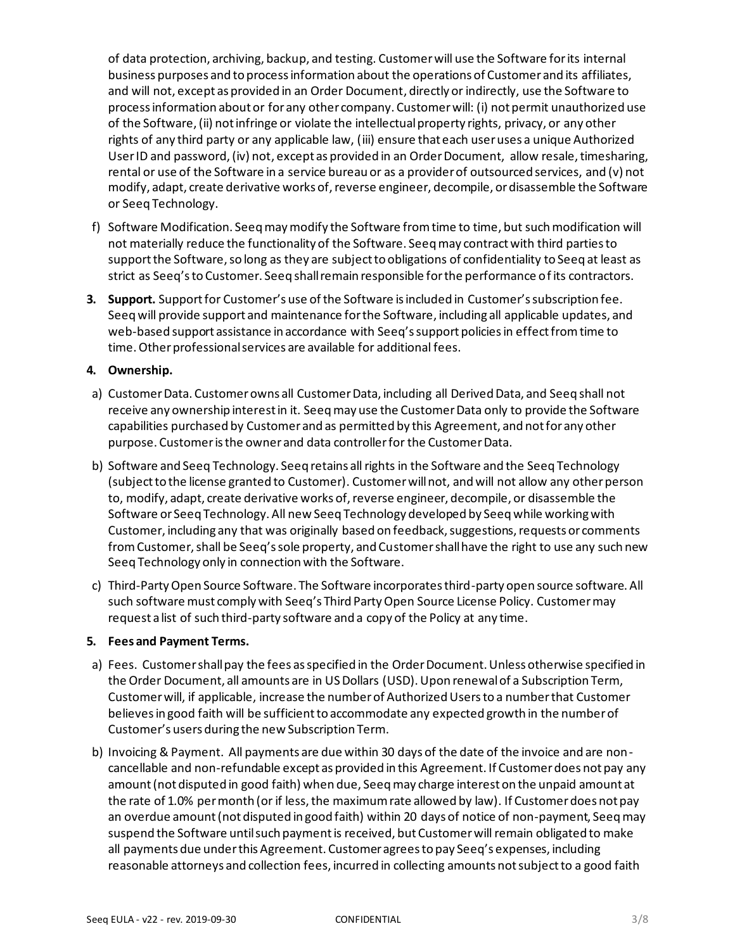of data protection, archiving, backup, and testing. Customer will use the Software for its internal business purposes and to process information about the operations of Customer and its affiliates, and will not, except as provided in an Order Document, directly or indirectly, use the Software to process information about or for any other company. Customer will: (i) not permit unauthorized use of the Software, (ii) not infringe or violate the intellectual property rights, privacy, or any other rights of any third party or any applicable law, (iii) ensure that each user uses a unique Authorized User ID and password, (iv) not, except as provided in an Order Document, allow resale, timesharing, rental or use of the Software in a service bureau or as a provider of outsourced services, and (v) not modify, adapt, create derivative works of, reverse engineer, decompile, or disassemble the Software or Seeq Technology.

- f) Software Modification. Seeq may modify the Software from time to time, but such modification will not materially reduce the functionality of the Software. Seeq may contract with third parties to support the Software, so long as they are subject to obligations of confidentiality to Seeq at least as strict as Seeq's to Customer. Seeq shall remain responsible for the performance of its contractors.
- **3. Support.** Support for Customer's use of the Software is included in Customer's subscription fee. Seeq will provide support and maintenance for the Software, including all applicable updates, and web-based support assistance in accordance with Seeq's support policies in effect from time to time. Other professional services are available for additional fees.

## **4. Ownership.**

- a) Customer Data. Customer owns all Customer Data, including all Derived Data, and Seeq shall not receive any ownership interest in it. Seeq may use the Customer Data only to provide the Software capabilities purchased by Customer and as permitted by this Agreement, and not for any other purpose. Customer is the owner and data controller for the Customer Data.
- b) Software and Seeq Technology. Seeq retains all rights in the Software and the Seeq Technology (subject to the license granted to Customer). Customer will not, and will not allow any other person to, modify, adapt, create derivative works of, reverse engineer, decompile, or disassemble the Software or Seeq Technology. All new Seeq Technology developed by Seeq while working with Customer, including any that was originally based on feedback, suggestions, requests or comments from Customer, shall be Seeq's sole property, and Customer shall have the right to use any such new Seeq Technology only in connection with the Software.
- c) Third-Party Open Source Software. The Software incorporates third-party open source software. All such software must comply with Seeq's Third Party Open Source License Policy. Customer may request a list of such third-party software and a copy of the Policy at any time.

#### **5. Fees and Payment Terms.**

- a) Fees. Customer shall pay the fees as specified in the Order Document. Unless otherwise specified in the Order Document, all amounts are in US Dollars (USD). Upon renewal of a Subscription Term, Customer will, if applicable, increase the number of Authorized Users to a number that Customer believes in good faith will be sufficient to accommodate any expected growth in the number of Customer's users during the new Subscription Term.
- b) Invoicing & Payment. All payments are due within 30 days of the date of the invoice and are noncancellable and non-refundable except as provided in this Agreement. If Customer does not pay any amount (not disputed in good faith) when due, Seeq may charge interest on the unpaid amount at the rate of 1.0% per month (or if less, the maximum rate allowed by law). If Customer does not pay an overdue amount (not disputed in good faith) within 20 days of notice of non-payment, Seeq may suspend the Software until such payment is received, but Customer will remain obligated to make all payments due under this Agreement. Customer agrees to pay Seeq's expenses, including reasonable attorneys and collection fees, incurred in collecting amounts not subject to a good faith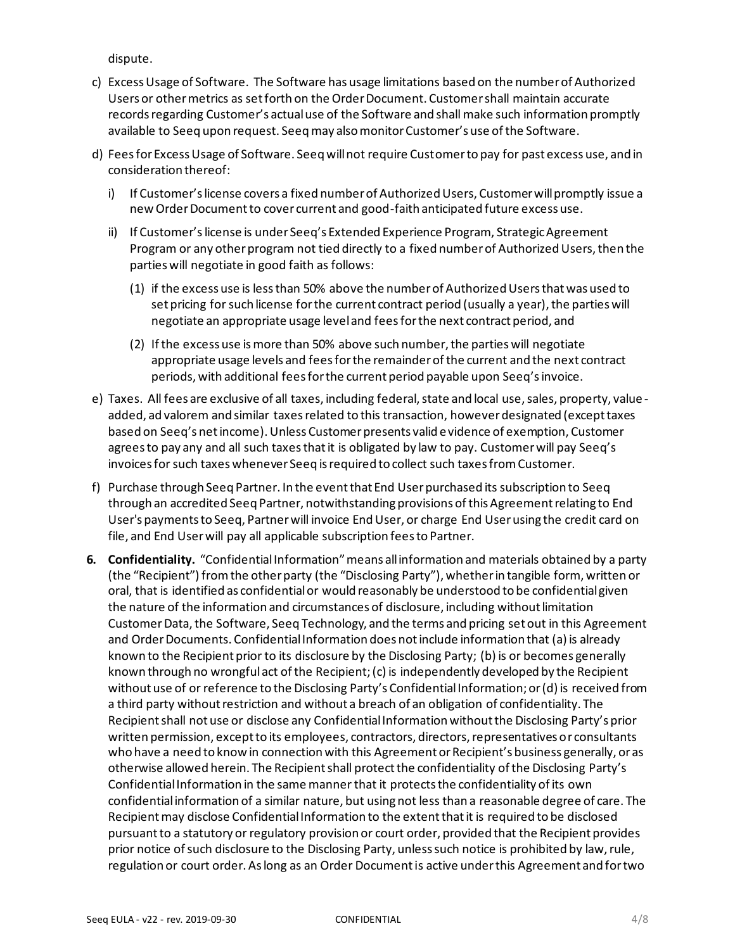dispute.

- c) Excess Usage of Software. The Software has usage limitations based on the number of Authorized Users or other metrics as set forth on the Order Document. Customer shall maintain accurate records regarding Customer's actual use of the Software and shall make such information promptly available to Seeq upon request. Seeq may also monitor Customer's use of the Software.
- d) Fees for Excess Usage of Software. Seeq will not require Customer to pay for past excess use, and in consideration thereof:
	- i) If Customer's license covers a fixed number of Authorized Users, Customer will promptly issue a new Order Document to cover current and good-faith anticipated future excess use.
	- ii) If Customer's license is under Seeq's Extended Experience Program, Strategic Agreement Program or any other program not tied directly to a fixed number of Authorized Users, then the parties will negotiate in good faith as follows:
		- (1) if the excess use is less than 50% above the number of Authorized Users that was used to set pricing for such license for the current contract period (usually a year), the parties will negotiate an appropriate usage level and fees for the next contract period, and
		- (2) If the excess use is more than 50% above such number, the parties will negotiate appropriate usage levels and fees for the remainder of the current and the next contract periods, with additional fees for the current period payable upon Seeq's invoice.
- e) Taxes. All fees are exclusive of all taxes, including federal, state and local use, sales, property, value added, ad valorem and similar taxes related to this transaction, however designated (except taxes based on Seeq's net income). Unless Customer presents valid evidence of exemption, Customer agrees to pay any and all such taxes that it is obligated by law to pay. Customer will pay Seeq's invoices for such taxes whenever Seeq is required to collect such taxes from Customer.
- f) Purchase through Seeq Partner. In the event that End User purchased its subscription to Seeq through an accredited Seeq Partner, notwithstanding provisions of this Agreement relating to End User's payments to Seeq, Partner will invoice End User, or charge End User using the credit card on file, and End User will pay all applicable subscription fees to Partner.
- **6. Confidentiality.** "Confidential Information" means all information and materials obtained by a party (the "Recipient") from the other party (the "Disclosing Party"), whether in tangible form, written or oral, that is identified as confidential or would reasonably be understood to be confidential given the nature of the information and circumstances of disclosure, including without limitation Customer Data, the Software, Seeq Technology, and the terms and pricing set out in this Agreement and Order Documents. Confidential Information does not include information that (a) is already known to the Recipient prior to its disclosure by the Disclosing Party; (b) is or becomes generally known through no wrongful act of the Recipient; (c) is independently developed by the Recipient without use of or reference to the Disclosing Party's Confidential Information; or (d) is received from a third party without restriction and without a breach of an obligation of confidentiality. The Recipient shall not use or disclose any Confidential Information without the Disclosing Party's prior written permission, except to its employees, contractors, directors, representatives or consultants who have a need to know in connection with this Agreement or Recipient's business generally, or as otherwise allowed herein. The Recipient shall protect the confidentiality of the Disclosing Party's Confidential Information in the same mannerthat it protects the confidentiality of its own confidential information of a similar nature, but using not less than a reasonable degree of care. The Recipient may disclose Confidential Information to the extent that it is required to be disclosed pursuant to a statutory or regulatory provision or court order, provided that the Recipient provides prior notice of such disclosure to the Disclosing Party, unless such notice is prohibited by law, rule, regulation or court order. As long as an Order Document is active under this Agreement and for two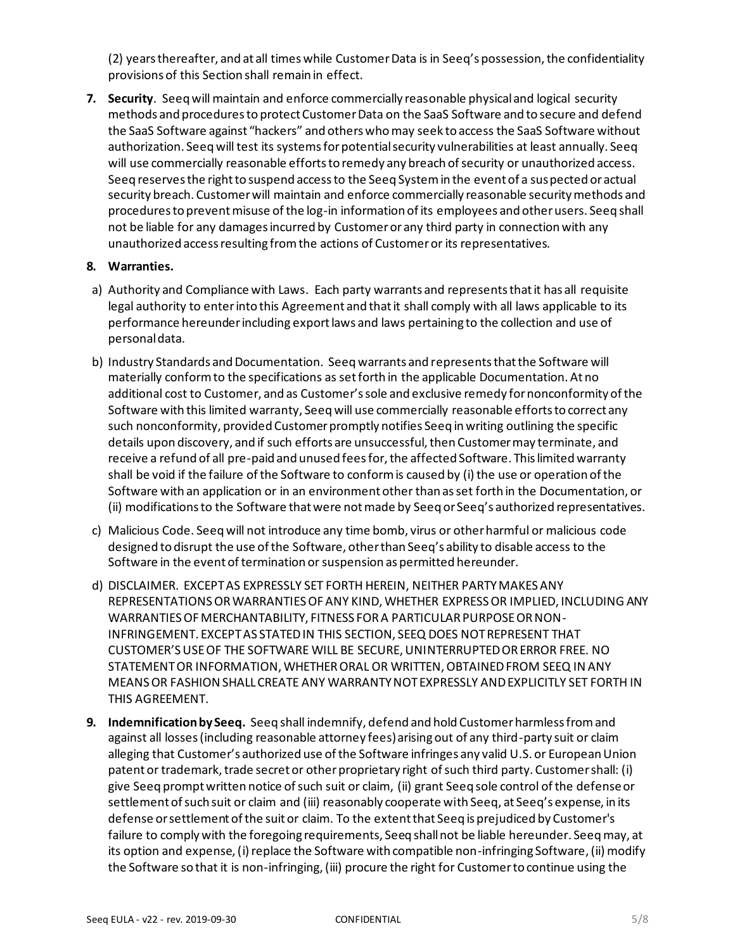(2) years thereafter, and at all times while Customer Data is in Seeq's possession, the confidentiality provisions of this Section shall remain in effect.

**7. Security**. Seeq will maintain and enforce commercially reasonable physical and logical security methods and procedures to protect Customer Data on the SaaS Software and to secure and defend the SaaS Software against "hackers" and others who may seek to access the SaaS Software without authorization. Seeq will test its systems for potential security vulnerabilities at least annually. Seeq will use commercially reasonable efforts to remedy any breach of security or unauthorized access. Seeq reserves the right to suspend access to the Seeq System in the event of a suspected or actual security breach. Customer will maintain and enforce commercially reasonable security methods and procedures to prevent misuse of the log-in information of its employees and other users. Seeq shall not be liable for any damages incurred by Customer or any third party in connection with any unauthorized access resulting from the actions of Customer or its representatives.

#### **8. Warranties.**

- a) Authority and Compliance with Laws. Each party warrants and represents that it has all requisite legal authority to enter into this Agreement and that it shall comply with all laws applicable to its performance hereunder including export laws and laws pertaining to the collection and use of personal data.
- b) Industry Standards and Documentation. Seeq warrants and represents that the Software will materially conform to the specifications as set forth in the applicable Documentation. At no additional cost to Customer, and as Customer's sole and exclusive remedy for nonconformity of the Software with this limited warranty, Seeq will use commercially reasonable efforts to correct any such nonconformity, provided Customer promptly notifies Seeq in writing outlining the specific details upon discovery, and if such efforts are unsuccessful, then Customer may terminate, and receive a refund of all pre-paid and unused fees for, the affected Software. This limited warranty shall be void if the failure of the Software to conform is caused by (i) the use or operation of the Software with an application or in an environment other than as set forth in the Documentation, or (ii) modifications to the Software that were not made by Seeq or Seeq's authorized representatives.
- c) Malicious Code. Seeq will not introduce any time bomb, virus or other harmful or malicious code designed to disrupt the use of the Software, other than Seeq's ability to disable access to the Software in the event of termination or suspension as permitted hereunder.
- d) DISCLAIMER. EXCEPT AS EXPRESSLY SET FORTH HEREIN, NEITHER PARTY MAKES ANY REPRESENTATIONS OR WARRANTIES OF ANY KIND, WHETHER EXPRESS OR IMPLIED, INCLUDING ANY WARRANTIES OF MERCHANTABILITY, FITNESS FOR A PARTICULAR PURPOSE OR NON-INFRINGEMENT. EXCEPT AS STATED IN THIS SECTION, SEEQ DOES NOT REPRESENT THAT CUSTOMER'S USE OF THE SOFTWARE WILL BE SECURE, UNINTERRUPTED OR ERROR FREE. NO STATEMENT OR INFORMATION, WHETHER ORAL OR WRITTEN, OBTAINED FROM SEEQ IN ANY MEANS OR FASHION SHALL CREATE ANY WARRANTY NOT EXPRESSLY AND EXPLICITLY SET FORTH IN THIS AGREEMENT.
- **9. Indemnification by Seeq.** Seeq shall indemnify, defend and hold Customer harmless from and against all losses (including reasonable attorney fees) arising out of any third-party suit or claim alleging that Customer's authorized use of the Software infringes any valid U.S. or European Union patent or trademark, trade secret or other proprietary right of such third party. Customer shall: (i) give Seeq prompt written notice of such suit or claim, (ii) grant Seeq sole control of the defense or settlement of such suit or claim and (iii) reasonably cooperate with Seeq, at Seeq's expense, in its defense or settlement of the suit or claim. To the extent that Seeq is prejudiced by Customer's failure to comply with the foregoing requirements, Seeq shall not be liable hereunder. Seeq may, at its option and expense, (i) replace the Software with compatible non-infringing Software, (ii) modify the Software so that it is non-infringing, (iii) procure the right for Customer to continue using the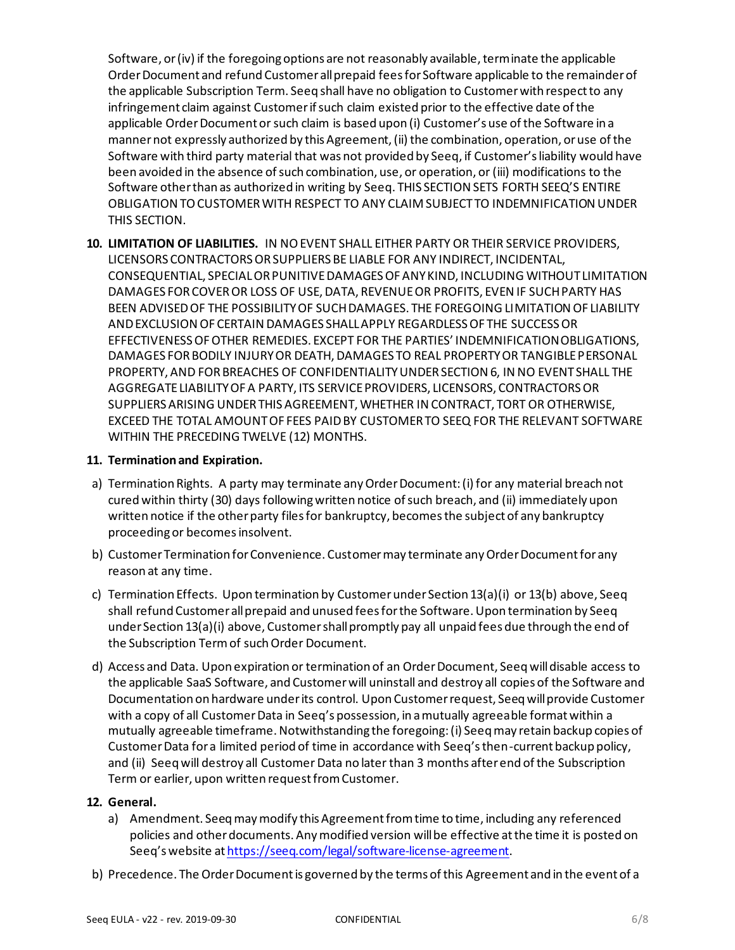Software, or (iv) if the foregoing options are not reasonably available, terminate the applicable Order Document and refund Customer all prepaid fees for Software applicable to the remainder of the applicable Subscription Term. Seeq shall have no obligation to Customer with respect to any infringement claim against Customer if such claim existed prior to the effective date of the applicable Order Document or such claim is based upon (i) Customer's use of the Software in a manner not expressly authorized by this Agreement, (ii) the combination, operation, or use of the Software with third party material that was not provided by Seeq, if Customer's liability would have been avoided in the absence of such combination, use, or operation, or (iii) modifications to the Software other than as authorized in writing by Seeq. THIS SECTION SETS FORTH SEEQ'S ENTIRE OBLIGATION TO CUSTOMER WITH RESPECT TO ANY CLAIM SUBJECT TO INDEMNIFICATION UNDER THIS SECTION.

**10. LIMITATION OF LIABILITIES.** IN NO EVENT SHALL EITHER PARTY OR THEIR SERVICE PROVIDERS, LICENSORS CONTRACTORS OR SUPPLIERS BE LIABLE FOR ANY INDIRECT, INCIDENTAL, CONSEQUENTIAL, SPECIAL OR PUNITIVE DAMAGES OF ANY KIND, INCLUDING WITHOUT LIMITATION DAMAGES FOR COVER OR LOSS OF USE, DATA, REVENUE OR PROFITS, EVEN IF SUCH PARTY HAS BEEN ADVISED OF THE POSSIBILITY OF SUCH DAMAGES. THE FOREGOING LIMITATION OF LIABILITY AND EXCLUSION OF CERTAIN DAMAGES SHALL APPLY REGARDLESS OF THE SUCCESS OR EFFECTIVENESS OF OTHER REMEDIES. EXCEPT FOR THE PARTIES' INDEMNIFICATION OBLIGATIONS, DAMAGES FOR BODILY INJURY OR DEATH, DAMAGES TO REAL PROPERTY OR TANGIBLE PERSONAL PROPERTY, AND FOR BREACHES OF CONFIDENTIALITY UNDER SECTION 6, IN NO EVENT SHALL THE AGGREGATE LIABILITY OF A PARTY, ITS SERVICE PROVIDERS, LICENSORS, CONTRACTORS OR SUPPLIERS ARISING UNDER THIS AGREEMENT, WHETHER IN CONTRACT, TORT OR OTHERWISE, EXCEED THE TOTAL AMOUNT OF FEES PAID BY CUSTOMER TO SEEQ FOR THE RELEVANT SOFTWARE WITHIN THE PRECEDING TWELVE (12) MONTHS.

### **11. Termination and Expiration.**

- a) Termination Rights. A party may terminate any Order Document: (i) for any material breach not cured within thirty (30) days following written notice of such breach, and (ii) immediately upon written notice if the other party files for bankruptcy, becomes the subject of any bankruptcy proceeding or becomes insolvent.
- b) Customer Termination for Convenience. Customer may terminate any Order Document for any reason at any time.
- c) Termination Effects. Upon termination by Customer under Section 13(a)(i) or 13(b) above, Seeq shall refund Customer all prepaid and unused fees for the Software. Upon termination by Seeq under Section 13(a)(i) above, Customer shall promptly pay all unpaid fees due through the end of the Subscription Term of such Order Document.
- d) Access and Data. Upon expiration or termination of an Order Document, Seeq will disable access to the applicable SaaS Software, and Customer will uninstall and destroy all copies of the Software and Documentation on hardware under its control. Upon Customer request, Seeq will provide Customer with a copy of all Customer Data in Seeq's possession, in a mutually agreeable format within a mutually agreeable timeframe. Notwithstanding the foregoing: (i) Seeq may retain backup copies of Customer Data for a limited period of time in accordance with Seeq's then-current backup policy, and (ii) Seeq will destroy all Customer Data no later than 3 months after end of the Subscription Term or earlier, upon written request from Customer.

#### **12. General.**

- a) Amendment. Seeq may modify this Agreement from time to time, including any referenced policies and other documents. Any modified version will be effective at the time it is posted on Seeq's website at https://seeq.com/legal/software-license-agreement.
- b) Precedence. The Order Document is governed by the terms of this Agreement and in the event of a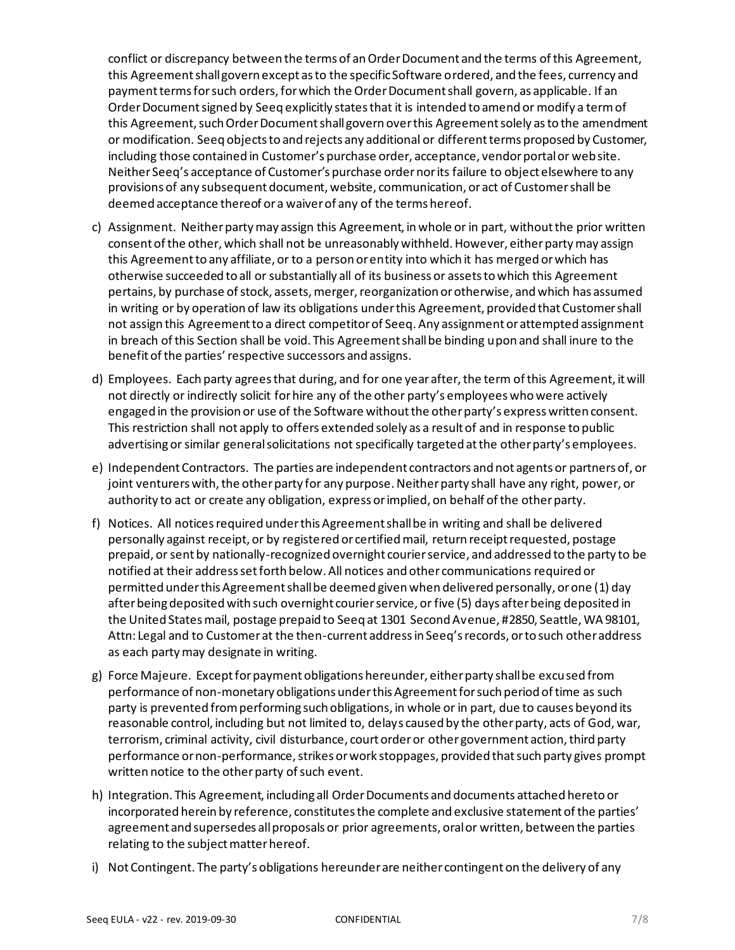conflict or discrepancy between the terms of an Order Document and the terms of this Agreement, this Agreement shall govern except as to the specific Software ordered, and the fees, currency and payment terms for such orders, for which the Order Document shall govern, as applicable. If an Order Document signed by Seeq explicitly states that it is intended to amend or modify a term of this Agreement, such Order Document shall govern over this Agreement solely as to the amendment or modification. Seeq objects to and rejects any additional or different terms proposed by Customer, including those contained in Customer's purchase order, acceptance, vendor portal or website. Neither Seeq's acceptance of Customer's purchase order nor its failure to object elsewhere to any provisions of any subsequent document, website, communication, or act of Customer shall be deemed acceptance thereof or a waiver of any of the terms hereof.

- c) Assignment. Neither party may assign this Agreement, in whole or in part, without the prior written consent of the other, which shall not be unreasonably withheld. However, either party may assign this Agreement to any affiliate, or to a person or entity into which it has merged or which has otherwise succeeded to all or substantially all of its business or assets to which this Agreement pertains, by purchase of stock, assets, merger, reorganization or otherwise, and which has assumed in writing or by operation of law its obligations under this Agreement, provided that Customer shall not assign this Agreement to a direct competitor of Seeq. Any assignment or attempted assignment in breach of this Section shall be void. This Agreement shall be binding upon and shall inure to the benefit of the parties' respective successors and assigns.
- d) Employees. Each party agrees that during, and for one year after, the term of this Agreement, it will not directly or indirectly solicit for hire any of the other party's employees who were actively engaged in the provision or use of the Software without the other party's express written consent. This restriction shall not apply to offers extended solely as a result of and in response to public advertising or similar general solicitations not specifically targeted at the other party's employees.
- e) Independent Contractors. The parties are independent contractors and not agents or partners of, or joint venturers with, the other party for any purpose. Neither party shall have any right, power, or authority to act or create any obligation, express or implied, on behalf of the other party.
- f) Notices. All notices required under this Agreement shall be in writing and shall be delivered personally against receipt, or by registered or certified mail, return receipt requested, postage prepaid, or sent by nationally-recognized overnight courier service, and addressed to the party to be notified at their address set forth below. All notices and other communications required or permitted under this Agreement shall be deemed given when delivered personally, or one (1) day after being deposited with such overnight courier service, or five (5) days after being deposited in the United States mail, postage prepaid to Seeq at 1301 Second Avenue, #2850, Seattle, WA 98101, Attn: Legal and to Customer at the then-current address in Seeq's records, or to such other address as each party may designate in writing.
- g) Force Majeure. Except for payment obligations hereunder, either party shall be excused from performance of non-monetary obligations under this Agreement for such period of time as such party is prevented from performing such obligations, in whole or in part, due to causes beyond its reasonable control, including but not limited to, delays caused by the other party, acts of God, war, terrorism, criminal activity, civil disturbance, court order or other government action, third party performance or non-performance, strikes or work stoppages, provided that such party gives prompt written notice to the other party of such event.
- h) Integration. This Agreement, including all Order Documents and documents attached hereto or incorporated herein by reference, constitutes the complete and exclusive statement of the parties' agreement and supersedes all proposals or prior agreements, oral or written, between the parties relating to the subject matter hereof.
- i) Not Contingent. The party's obligations hereunder are neither contingent on the delivery of any